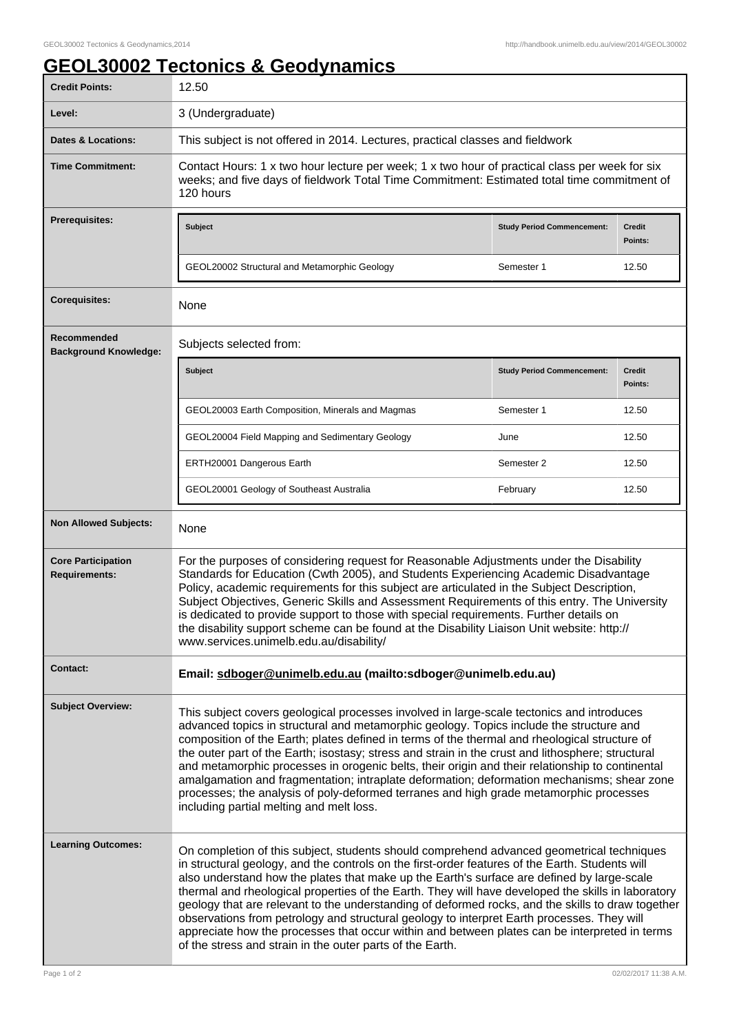## **GEOL30002 Tectonics & Geodynamics**

| <b>Credit Points:</b>                             | 12.50                                                                                                                                                                                                                                                                                                                                                                                                                                                                                                                                                                                                                                                                                                                                                             |                                   |                          |
|---------------------------------------------------|-------------------------------------------------------------------------------------------------------------------------------------------------------------------------------------------------------------------------------------------------------------------------------------------------------------------------------------------------------------------------------------------------------------------------------------------------------------------------------------------------------------------------------------------------------------------------------------------------------------------------------------------------------------------------------------------------------------------------------------------------------------------|-----------------------------------|--------------------------|
| Level:                                            | 3 (Undergraduate)                                                                                                                                                                                                                                                                                                                                                                                                                                                                                                                                                                                                                                                                                                                                                 |                                   |                          |
| Dates & Locations:                                | This subject is not offered in 2014. Lectures, practical classes and fieldwork                                                                                                                                                                                                                                                                                                                                                                                                                                                                                                                                                                                                                                                                                    |                                   |                          |
| <b>Time Commitment:</b>                           | Contact Hours: 1 x two hour lecture per week; 1 x two hour of practical class per week for six<br>weeks; and five days of fieldwork Total Time Commitment: Estimated total time commitment of<br>120 hours                                                                                                                                                                                                                                                                                                                                                                                                                                                                                                                                                        |                                   |                          |
| <b>Prerequisites:</b>                             | <b>Subject</b>                                                                                                                                                                                                                                                                                                                                                                                                                                                                                                                                                                                                                                                                                                                                                    | <b>Study Period Commencement:</b> | <b>Credit</b><br>Points: |
|                                                   | GEOL20002 Structural and Metamorphic Geology                                                                                                                                                                                                                                                                                                                                                                                                                                                                                                                                                                                                                                                                                                                      | Semester 1                        | 12.50                    |
| <b>Corequisites:</b>                              | None                                                                                                                                                                                                                                                                                                                                                                                                                                                                                                                                                                                                                                                                                                                                                              |                                   |                          |
| Recommended<br><b>Background Knowledge:</b>       | Subjects selected from:                                                                                                                                                                                                                                                                                                                                                                                                                                                                                                                                                                                                                                                                                                                                           |                                   |                          |
|                                                   | <b>Subject</b>                                                                                                                                                                                                                                                                                                                                                                                                                                                                                                                                                                                                                                                                                                                                                    | <b>Study Period Commencement:</b> | <b>Credit</b><br>Points: |
|                                                   | GEOL20003 Earth Composition, Minerals and Magmas                                                                                                                                                                                                                                                                                                                                                                                                                                                                                                                                                                                                                                                                                                                  | Semester 1                        | 12.50                    |
|                                                   | GEOL20004 Field Mapping and Sedimentary Geology                                                                                                                                                                                                                                                                                                                                                                                                                                                                                                                                                                                                                                                                                                                   | June                              | 12.50                    |
|                                                   | ERTH20001 Dangerous Earth                                                                                                                                                                                                                                                                                                                                                                                                                                                                                                                                                                                                                                                                                                                                         | Semester 2                        | 12.50                    |
|                                                   | GEOL20001 Geology of Southeast Australia                                                                                                                                                                                                                                                                                                                                                                                                                                                                                                                                                                                                                                                                                                                          | February                          | 12.50                    |
| <b>Non Allowed Subjects:</b>                      | None                                                                                                                                                                                                                                                                                                                                                                                                                                                                                                                                                                                                                                                                                                                                                              |                                   |                          |
| <b>Core Participation</b><br><b>Requirements:</b> | For the purposes of considering request for Reasonable Adjustments under the Disability<br>Standards for Education (Cwth 2005), and Students Experiencing Academic Disadvantage<br>Policy, academic requirements for this subject are articulated in the Subject Description,<br>Subject Objectives, Generic Skills and Assessment Requirements of this entry. The University<br>is dedicated to provide support to those with special requirements. Further details on<br>the disability support scheme can be found at the Disability Liaison Unit website: http://<br>www.services.unimelb.edu.au/disability/                                                                                                                                                  |                                   |                          |
| <b>Contact:</b>                                   | Email: sdboger@unimelb.edu.au (mailto:sdboger@unimelb.edu.au)                                                                                                                                                                                                                                                                                                                                                                                                                                                                                                                                                                                                                                                                                                     |                                   |                          |
| <b>Subject Overview:</b>                          | This subject covers geological processes involved in large-scale tectonics and introduces<br>advanced topics in structural and metamorphic geology. Topics include the structure and<br>composition of the Earth; plates defined in terms of the thermal and rheological structure of<br>the outer part of the Earth; isostasy; stress and strain in the crust and lithosphere; structural<br>and metamorphic processes in orogenic belts, their origin and their relationship to continental<br>amalgamation and fragmentation; intraplate deformation; deformation mechanisms; shear zone<br>processes; the analysis of poly-deformed terranes and high grade metamorphic processes<br>including partial melting and melt loss.                                 |                                   |                          |
| <b>Learning Outcomes:</b>                         | On completion of this subject, students should comprehend advanced geometrical techniques<br>in structural geology, and the controls on the first-order features of the Earth. Students will<br>also understand how the plates that make up the Earth's surface are defined by large-scale<br>thermal and rheological properties of the Earth. They will have developed the skills in laboratory<br>geology that are relevant to the understanding of deformed rocks, and the skills to draw together<br>observations from petrology and structural geology to interpret Earth processes. They will<br>appreciate how the processes that occur within and between plates can be interpreted in terms<br>of the stress and strain in the outer parts of the Earth. |                                   |                          |